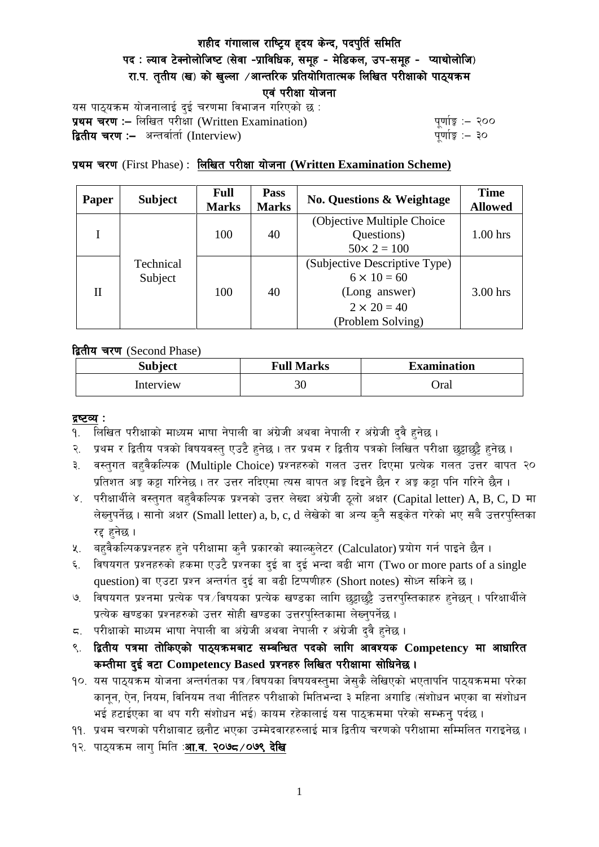# शहीद गंगालाल राष्ट्रिय हृदय केन्द, पदपुर्ति समिति पद: ल्याव टेक्नोलोजिष्ट (सेवा -प्राविधिक, समूह - मेडिकल, उप-समूह - प्याथोलोजि) रा.प. तृतीय (ख) को खुल्ला ⁄आन्तरिक प्रतियोगितात्मक लिखित परीक्षाको पाठ्यक्रम एवं परीक्षा योजना

यस पाठ्यक्रम योजनालाई दुई चरणमा विभाजन गरिएको छ : प्रथम चरण :- लिखित परीक्षा (Written Examination)  $\frac{d}{dx}$  and  $\frac{d}{dx}$  and  $\frac{d}{dx}$  are  $\frac{d}{dx}$ **द्वितीय चरण :–** अन्तर्वार्ता (Interview) k and the set of the set of the set of the set of the set of the set o

# प्रथम चरण (First Phase) : लिखित परीक्षा योजना (Written Examination Scheme)

| Paper | <b>Subject</b>       | Full<br><b>Marks</b> | Pass<br><b>Marks</b> | <b>No. Questions &amp; Weightage</b> | <b>Time</b><br><b>Allowed</b> |
|-------|----------------------|----------------------|----------------------|--------------------------------------|-------------------------------|
|       | Technical<br>Subject | 100                  | 40                   | (Objective Multiple Choice)          |                               |
|       |                      |                      |                      | Questions)                           | $1.00$ hrs                    |
|       |                      |                      |                      | $50 \times 2 = 100$                  |                               |
| H     |                      | 100                  | 40                   | (Subjective Descriptive Type)        |                               |
|       |                      |                      |                      | $6 \times 10 = 60$                   |                               |
|       |                      |                      |                      | (Long answer)                        | 3.00 hrs                      |
|       |                      |                      |                      | $2 \times 20 = 40$                   |                               |
|       |                      |                      |                      | (Problem Solving)                    |                               |

द्वितीय चरण (Second Phase)

| <b>Subject</b> | <b>Full Marks</b> | <b>Examination</b> |  |
|----------------|-------------------|--------------------|--|
| Interview      | 30                | Oral               |  |

#### द्रष्टव्य :

- १. लिखित परीक्षाको माध्यम भाषा नेपाली वा अंग्रेजी अथवा नेपाली र अंग्रेजी द्वै हुनेछ ।
- २. प्रथम र द्वितीय पत्रको विषयवस्तु एउटै हुनेछ । तर प्रथम र द्वितीय पत्रको लिखित परीक्षा छुट्टाछुट्टै हुनेछ ।
- ३. वस्तुगत बहुवैकल्पिक (Multiple Choice) प्रश्नहरुको गलत उत्तर दिएमा प्रत्येक गलत उत्तर बापत २० प्रतिशत अड़ू कट्टा गरिनेछ । तर उत्तर नदिएमा त्यस बापत अड़ू दिइने छैन र अड़ू कट्टा पनि गरिने छैन ।
- ४. परीक्षार्थीले वस्तुगत बहुवैकल्पिक प्रश्नको उत्तर लेख्दा अंग्रेजी ठूलो अक्षर (Capital letter) A, B, C, D मा लेख्नुपर्नेछ । सानो अक्षर (Small letter) a, b, c, d लेखेको वा अन्य कुनै सड्केत गरेको भए सबै उत्तरपुस्तिका रद्द हनेछ ।
- ५. वहवैकल्पिकप्रश्नहरु हुने परीक्षामा कुनै प्रकारको क्याल्कुलेटर (Calculator) प्रयोग गर्न पाइने छैन ।
- ६. विषयगत प्रश्नहरुको हकमा एउटै प्रश्नका दुई वा दुई भन्दा बढी भाग (Two or more parts of a single question) वा एउटा प्रश्न अन्तर्गत दई वा बढी टिप्पणीहरु (Short notes) सोध्न सकिने छ।
- ७. विषयगत प्रश्नमा प्रत्येक पत्र ∕विषयका प्रत्येक खण्डका लागि छट्टाछट्टै उत्तरपस्तिकाहरु हनेछन । परिक्षार्थीले प्रत्येक खण्डका प्रश्नहरुको उत्तर सोही खण्डका उत्तरपस्तिकामा लेख्नपर्नेछ ।
- $\,$ द. परीक्षाको माध्यम भाषा नेपाली वा अंग्रेजी अथवा नेपाली र अंग्रेजी द्वै हुनेछ ।
- ९. द्वितीय पत्रमा तोकिएको पाठ्यक्रमबाट सम्बन्धित पदको लागि आवश्यक Competency मा आधारित कम्तीमा दई वटा Competency Based प्रश्नहरु लिखित परीक्षामा सोधिनेछ।
- $10.$  यस पाठ्यक्रम योजना अन्तर्गतका पत्र /विषयका विषयवस्तुमा जेसुकै लेखिएको भएतापनि पाठ्यक्रममा परेका कानून, ऐन, नियम, विनियम तथा नीतिहरु परीक्षाको मितिभन्दा ३ महिना अगाडि (संशोधन भएका वा संशोधन भई हटाईएका वा थप गरी संशोधन भई) कायम रहेकालाई यस पाठकममा परेको सम्भन्न पर्दछ ।
- ११. प्रथम चरणको परीक्षाबाट छनौट भएका उम्मेदवारहरुलाई मात्र द्वितीय चरणको परीक्षामा सम्मिलित गराइनेछ ।
- १२. पाठ्यक्रम लाग मिति :**आ.व. २०७८ ⁄ ०७९ देखि**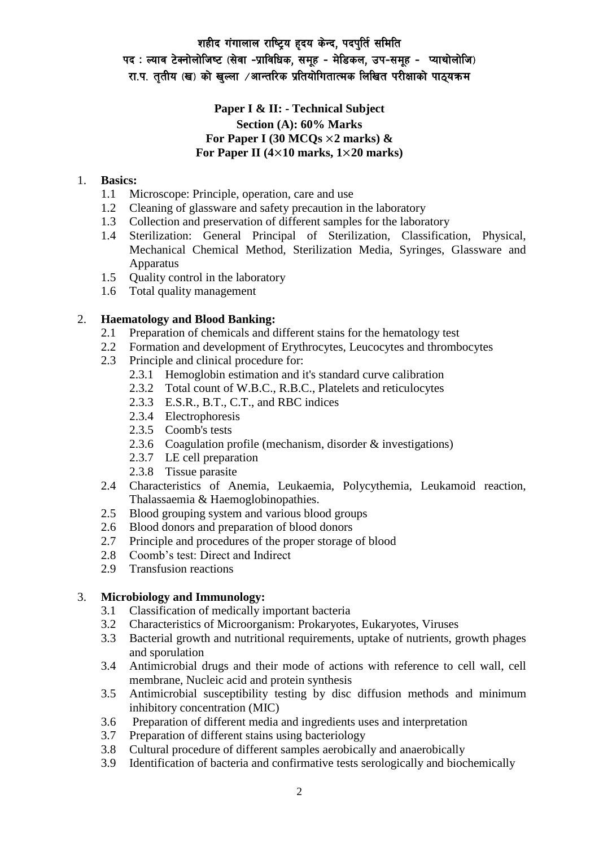# शहीद गंगालाल राष्ट्रिय हृदय केन्द, पदपुर्ति समिति पद: ल्याव टेक्नोलोजिष्ट (सेवा -प्राविधिक, समूह - मेडिकल, उप-समूह - प्याथोलोजि) रा.प. तृतीय (ख) को खुल्ला /आन्तरिक प्रतियोगितात्मक लिखित परीक्षाको पाठ्यक्रम

## **Paper I & II: - Technical Subject Section (A): 60% Marks For Paper I (30 MCQs** ×**2 marks) & For Paper II (4**×**10 marks, 1**×**20 marks)**

### 1. **Basics:**

- 1.1 Microscope: Principle, operation, care and use
- 1.2 Cleaning of glassware and safety precaution in the laboratory
- 1.3 Collection and preservation of different samples for the laboratory
- 1.4 Sterilization: General Principal of Sterilization, Classification, Physical, Mechanical Chemical Method, Sterilization Media, Syringes, Glassware and Apparatus
- 1.5 Quality control in the laboratory
- 1.6 Total quality management

### 2. **Haematology and Blood Banking:**

- 2.1 Preparation of chemicals and different stains for the hematology test
- 2.2 Formation and development of Erythrocytes, Leucocytes and thrombocytes
- 2.3 Principle and clinical procedure for:
	- 2.3.1 Hemoglobin estimation and it's standard curve calibration
	- 2.3.2 Total count of W.B.C., R.B.C., Platelets and reticulocytes
	- 2.3.3 E.S.R., B.T., C.T., and RBC indices
	- 2.3.4 Electrophoresis
	- 2.3.5 Coomb's tests
	- 2.3.6 Coagulation profile (mechanism, disorder & investigations)
	- 2.3.7 LE cell preparation
	- 2.3.8 Tissue parasite
- 2.4 Characteristics of Anemia, Leukaemia, Polycythemia, Leukamoid reaction, Thalassaemia & Haemoglobinopathies.
- 2.5 Blood grouping system and various blood groups
- 2.6 Blood donors and preparation of blood donors
- 2.7 Principle and procedures of the proper storage of blood
- 2.8 Coomb's test: Direct and Indirect
- 2.9 Transfusion reactions

### 3. **Microbiology and Immunology:**

- 3.1 Classification of medically important bacteria
- 3.2 Characteristics of Microorganism: Prokaryotes, Eukaryotes, Viruses
- 3.3 Bacterial growth and nutritional requirements, uptake of nutrients, growth phages and sporulation
- 3.4 Antimicrobial drugs and their mode of actions with reference to cell wall, cell membrane, Nucleic acid and protein synthesis
- 3.5 Antimicrobial susceptibility testing by disc diffusion methods and minimum inhibitory concentration (MIC)
- 3.6 Preparation of different media and ingredients uses and interpretation
- 3.7 Preparation of different stains using bacteriology
- 3.8 Cultural procedure of different samples aerobically and anaerobically
- 3.9 Identification of bacteria and confirmative tests serologically and biochemically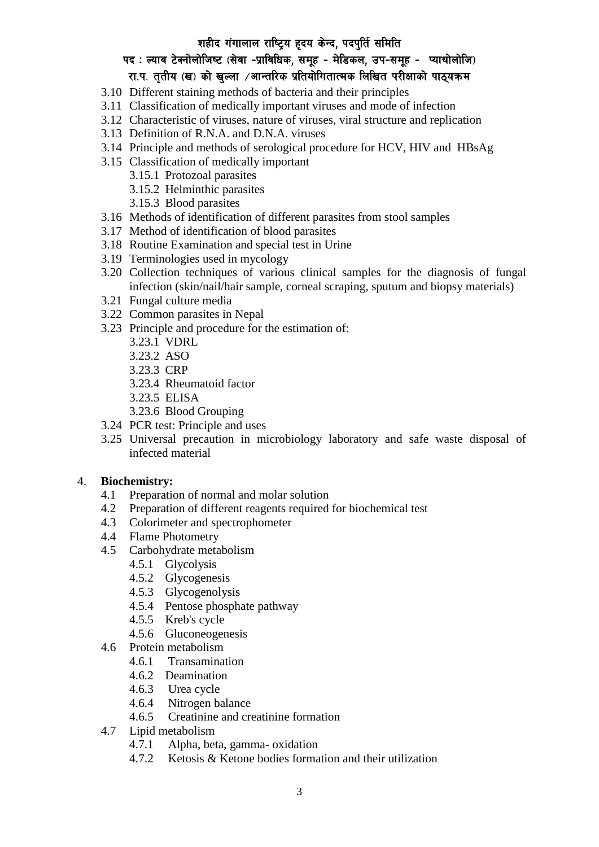# शहीद गंगालाल राष्ट्रिय हृदय केन्द, पदपुर्ति समिति

# पद: ल्याव टेक्नोलोजिष्ट (सेवा -प्राविधिक, समूह - मेडिकल, उप-समूह - प्याथोलोजि) रा.प. तृतीय (ख) को खुल्ला /आन्तरिक प्रतियोगितात्मक लिखित परीक्षाको पाठ्यक्रम

- 3.10 Different staining methods of bacteria and their principles
- 3.11 Classification of medically important viruses and mode of infection
- 3.12 Characteristic of viruses, nature of viruses, viral structure and replication
- 3.13 Definition of R.N.A. and D.N.A. viruses
- 3.14 Principle and methods of serological procedure for HCV, HIV and HBsAg
- 3.15 Classification of medically important
	- 3.15.1 Protozoal parasites
	- 3.15.2 Helminthic parasites
	- 3.15.3 Blood parasites
- 3.16 Methods of identification of different parasites from stool samples
- 3.17 Method of identification of blood parasites
- 3.18 Routine Examination and special test in Urine
- 3.19 Terminologies used in mycology
- 3.20 Collection techniques of various clinical samples for the diagnosis of fungal infection (skin/nail/hair sample, corneal scraping, sputum and biopsy materials)
- 3.21 Fungal culture media
- 3.22 Common parasites in Nepal
- 3.23 Principle and procedure for the estimation of:
	- 3.23.1 VDRL
	- 3.23.2 ASO
	- 3.23.3 CRP
	- 3.23.4 Rheumatoid factor
	- 3.23.5 ELISA
	- 3.23.6 Blood Grouping
- 3.24 PCR test: Principle and uses
- 3.25 Universal precaution in microbiology laboratory and safe waste disposal of infected material

#### 4. **Biochemistry:**

- 4.1 Preparation of normal and molar solution
- 4.2 Preparation of different reagents required for biochemical test
- 4.3 Colorimeter and spectrophometer
- 4.4 Flame Photometry
- 4.5 Carbohydrate metabolism
	- 4.5.1 Glycolysis
	- 4.5.2 Glycogenesis
	- 4.5.3 Glycogenolysis
	- 4.5.4 Pentose phosphate pathway
	- 4.5.5 Kreb's cycle
	- 4.5.6 Gluconeogenesis
- 4.6 Protein metabolism
	- 4.6.1 Transamination
	- 4.6.2 Deamination
	- 4.6.3 Urea cycle
	- 4.6.4 Nitrogen balance
	- 4.6.5 Creatinine and creatinine formation
- 4.7 Lipid metabolism
	- 4.7.1 Alpha, beta, gamma- oxidation
	- 4.7.2 Ketosis & Ketone bodies formation and their utilization